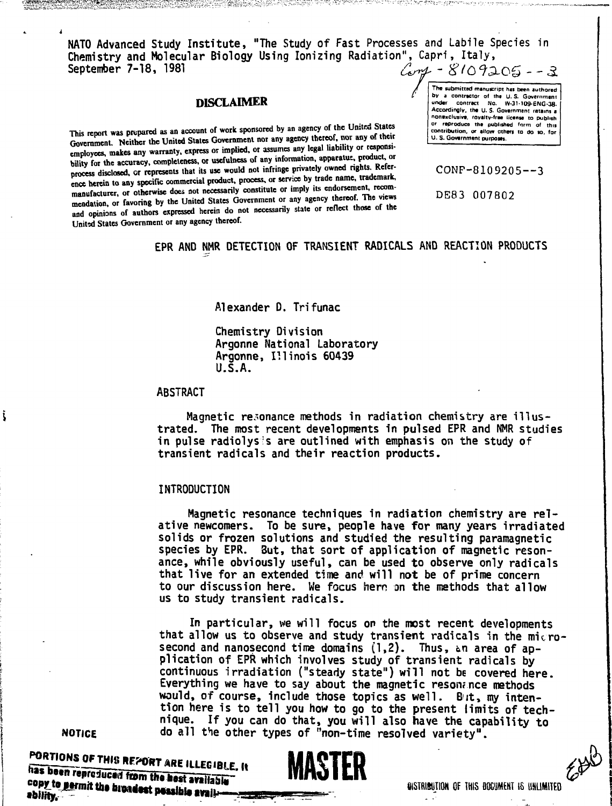NATO Advanced Study Institute, "The Study of Fast Processes and Labile Species in Chemistry and Molecular Biology Using Ionizing Radiation", Capri, Italy , September 7-18, 1981  $\cos \theta = 3$ 

### **DISCLAIMER**

**This report was prepared as an account of work sponsored by an agency of the United States Government. Neither the United States Government nor any agency thereof, nor any of their employees, makes any warranty, express or implied, or assumes any legal liability or responsibility for the accuracy, completeness, or usefulness of any information, apparatus, product, or process disclosed, or represents that its use would not infringe privately owned rights. Refer**ence herein to any specific commercial product, process, or service by trade name, trademark, **manufacturer, or otherwise does not necessarily constitute or imply its endorsement, recommendation, or favoring by the United States Government or any agency thereof. The views and opinions of authors expressed herein do not necessarily state or reflect those of the United States Government or any agency thereof.**

**The submitted manuscript has been authored bv a contractor of Iht U. S. Government under contract No. W-31 1O9-ENG-38- Accordingly, the U. S. Government retains a nonexclusive, rovaltv-'ree license to publish or reproduce the published 'nrm of this contribution, or allow others to do so. for U. S. Government purposes.**

CONF-8109205--3

DE83 007802

EPR AND NMR DETECTION OF TRANSIENT RADICALS AND REACTION PRODUCTS

Alexander D. Trifunac

Chemistry Division Argonne National Laboratory Argonne, Illinois 60439 U.S.A.

### ABSTRACT

Magnetic resonance methods in radiation chemistry are illus trated. The most recent developments in pulsed EPR and NMR studies in pulse radiolysis are outlined with emphasis on the study of transient radicals and their reaction products.

#### INTRODUCTION

Magnetic resonance techniques in radiation chemistry are relative newcomers. To be sure, people have for many years irradiated solids or frozen solutions and studied the resulting paramagnetic species by EPR. 3ut, that sort of application of magnetic resonance, while obviously useful, can be used to observe only radicals that live for an extended time and will not be of prime concern to our discussion here. We focus here on the methods that allow us to study transient radicals.

In particular, we will focus on the most recent developments that allow us to observe and study transient radicals in the microsecond and nanosecond time domains  $(1,2)$ . Thus, an area of application of EPR which involves study of transient radicals by continuous irradiation ("steady state") will not be covered here. Everything we have to say about the magnetic resonance methods would, of course, include those topics as well. But, my intention here is to tell you how to go to the present limits of technique. If you can do that, you will also have the capability to do all the other types of "non-time resolved variety".

# **NOTICE**

j

**PORTIONS OF THIS REPORT ARE ILLEGIBLE. It** has been reproduced from the best available. **IT MASTER** copjrte jywmtt tiw **bmulftt ptuiblt aval** DISTRIBUTION OF THIS **BOCUMENI** IS UNLIMITED

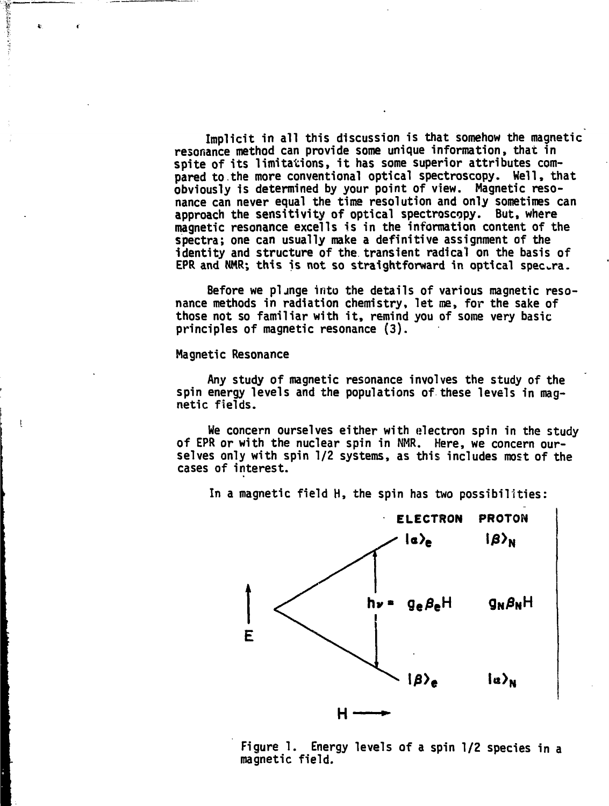**Implicit in all this discussion is that somehow the magnetic resonance method can provide some unique information, that in spite of its limitations, it has some superior attributes compared to the more conventional optical spectroscopy. Well, that obviously is determined by your point of view. Magnetic resonance can never equal the time resolution and only sometimes can approach the sensitivity of optical spectroscopy. But, where magnetic resonance excelIs is in the information content of the spectra; one can usually make a definitive assignment of the identity and structure of the transient radical on the basis of EPR and NMR; this is not so straightforward in optical specra.**

**Before we pljnge into the details of various magnetic resonance methods in radiation chemistry, let me, for the sake of those not so familiar with it, remind you of some very basic principles of magnetic resonance (3).**

**Magnetic Resonance**

 $\ddot{\textbf{c}}$  1

 $\mathbf{I}$ 

**Any study of magnetic resonance involves the study of the spin energy levels and the populations of these levels in magnetic fields.**

**We concern ourselves either with electron spin in the study of EPR or with the nuclear spin in NMR. Here, we concern ourselves only with spin 1/2 systems, as this includes most of the cases of interest.**

**In a magnetic field H, the spin has two possibilities:**



**Figure 1. Energy levels of a spin 1/2 species in a magnetic field.**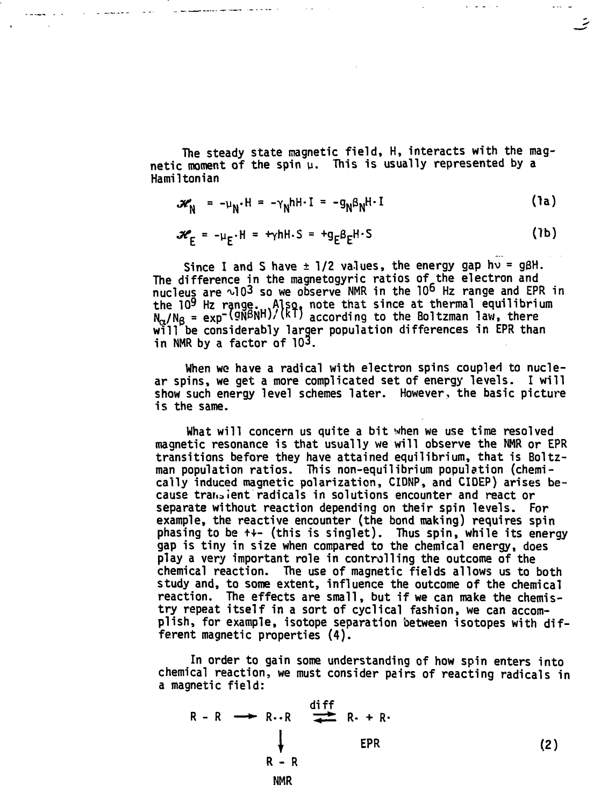The steady state magnetic field, H, interacts with the magnetic moment of the spin  $\mu$ . This is usually represented by a Hamiltonian

المتحديث يتسمين

$$
\mathcal{H}_{N} = -\mu_{N} \cdot H = -\gamma_{N} h H \cdot I = -g_{N} \beta_{N} H \cdot I
$$
 (1a)

$$
\mathcal{H}_{F} = -\mu_{F} \cdot H = +\gamma hH \cdot S = +g_{E} \beta_{E} H \cdot S \tag{1b}
$$

Since I and S have  $\pm$  1/2 values, the energy gap h $\nu$  = gBH. The difference in the magnetogyric ratios of the electron and nucleus are  $\sim 103$  so we observe NMR in the 10<sup>6</sup> Hz range and EPR in the 109 Hz range...Also, note that since at thermal equilibrium  $\mathrm{N_{\alpha}/N_{\beta}}$  = exp"(9 $\mathrm{N^{\beta}N^{\beta}N^{\beta}}/(\mathrm{kT})$  according to the Boltzman law, there will be considerably larger population differences in EPR than in NMR by a factor of 103.

When we have a radical with electron spins coupled to nuclear spins, we get a more complicated set of energy levels. I will show such energy level schemes later. However, the basic picture is the same.

What will concern us quite a bit when we use time resolved magnetic resonance is that usually we will observe the NMR or EPR transitions before they have attained equilibrium, that is Boltzman population ratios. This non-equilibrium population (chemically induced magnetic polarization, CIDNP, and CIDEP) arises because transient radicals in solutions encounter and react or separate without reaction depending on their spin levels. For example, the reactive encounter (the bond making) requires spin phasing to be  $++$  (this is singlet). Thus spin, while its energy gap is tiny in size when compared to the chemical energy, does play a yery important role in controlling the outcome of the chemical reaction. The use of magnetic fields allows us to both study and, to some extent, influence the outcome of the chemical reaction. The effects are small, but if we can make the chemistry repeat itself in a sort of cyclical fashion, we can accomplish, for example, isotope separation between isotopes with different magnetic properties (4).

In order to gain some understanding of how spin enters into chemical reaction, we must consider pairs of reacting radicals in a magnetic field:

$$
R - R \longrightarrow R \cdot R \xrightarrow{\text{diff}} R \cdot + R
$$
  
\n
$$
\downarrow_{R - R}
$$
  
\n
$$
R - R
$$
  
\n
$$
NMR
$$
  
\n(2)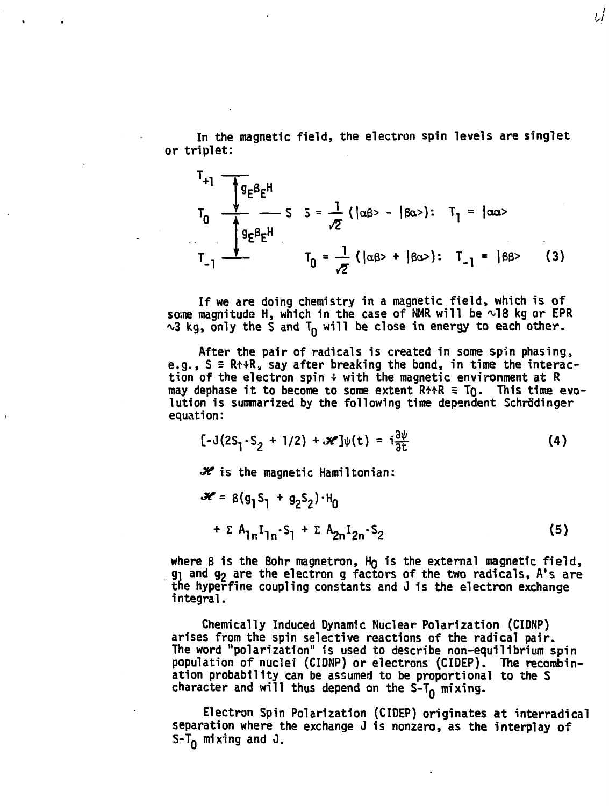In the magnetic field, the electron spin levels are singlet or triplet:

IJ

$$
T_{+1} = \frac{1}{\sqrt{g_E \beta_E H}} \qquad T_0 = \frac{1}{\sqrt{2}} (\alpha \beta - \beta \alpha^2) : T_1 = \alpha^2
$$
\n
$$
T_{-1} = \frac{1}{\sqrt{2}} (\alpha \beta - \beta \alpha^2) : T_{-1} = \beta \beta^2 \qquad (3)
$$

If we are doing chemistry in a magnetic field, which is of some magnitude H, which in the case of NMR will be  $\sim$ 18 kg or EPR  $\sim$ 3 kg, only the S and T<sub>O</sub> will be close in energy to each other.

After the pair of radicals is created in some spin phasing, e.g.,  $S = R+R$ , say after breaking the bond, in time the interaction of the electron spin  $+$  with the magnetic environment at R may dephase it to become to some extent  $R+R \equiv T_0$ . This time evolution is summarized by the following time dependent Schrödinger equation:

$$
[-J(2S_1 \cdot S_2 + 1/2) + \mathcal{H}]\psi(t) = i\frac{\partial \psi}{\partial t}
$$
 (4)

 $\mathscr H$  is the magnetic Hamiltonian:

$$
\mathcal{H} = \beta (g_1 S_1 + g_2 S_2) \cdot H_0
$$
  
+  $\Sigma A_{1n} I_{1n} \cdot S_1 + \Sigma A_{2n} I_{2n} \cdot S_2$  (5)

where  $\beta$  is the Bohr magnetron,  $H_0$  is the external magnetic field,  $g_1$  and  $g_2$  are the electron g factors of the two radicals, A's are the hyperfine coupling constants and J is the electron exchange integral.

Chemically Induced Dynamic Nuclear Polarization (CIDNP) arises from the spin selective reactions of the radical pair. The word "polarization" is used to describe non-equilibrium spin population of nuclei (CIDNP) or electrons (CIDEP). The recombination probability can be assumed to be proportional to the S character and will thus depend on the  $S-T_Q$  mixing.

Electron Spin Polarization (CIDEP) originates at interradical separation where the exchange J is nonzaro, as the interplay of S-T<sub>O</sub> mixing and J.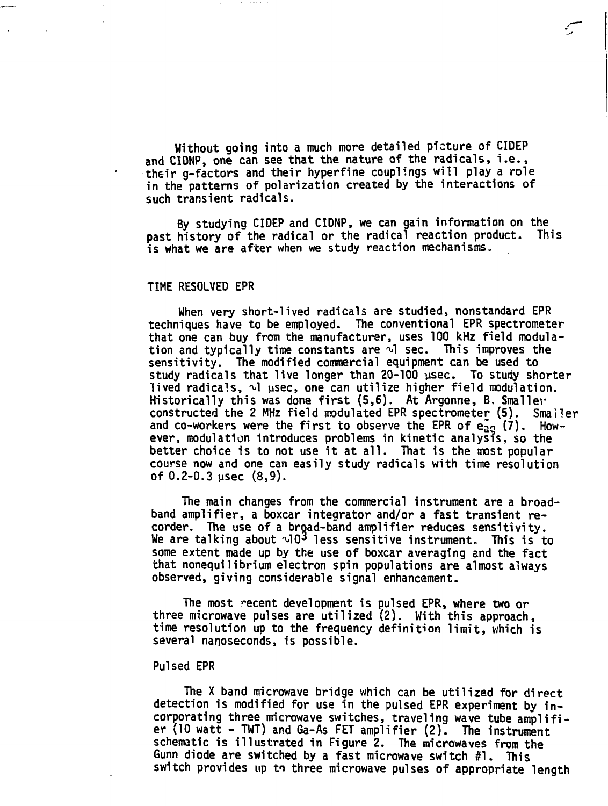Without going into a much more detailed picture of CIDEP and CIDNP, one can see that the nature of the radicals, i.e. , their g-factors and their hyperfine couplings will play a role in the patterns of polarization created by the interactions of such transient radicals.

By studying CIDEP and CIDNP, we can gain information on the past history of the radical or the radical reaction product. This is what we are after when we study reaction mechanisms.

## TIME RESOLVED EPR

When very short-lived radicals are studied, nonstandard EPR techniques have to be employed. The conventional EPR spectrometer that one can buy from the manufacturer, uses 100 kHz field modulation and typically time constants are  $\sqrt{ }$  sec. This improves the sensitivity. The modified commercial equipment can be used to study radicals that live longer than 20-100 ysec. To study shorter lived radicals,  $\sim$ l usec, one can utilize higher field modulation. Historically this was done first (5,6). At Argonne, B. Smaller constructed the 2 MHz field modulated EPR spectrometer (5). Smaller and co-workers were the first to observe the EPR of  $e_{\alpha q}$  (7). However, modulation introduces problems in kinetic analysis, so the better choice is to not use it at all. That is the most popular course now and one can easily study radicals with time resolution of  $0.2 - 0.3$  usec  $(8.9)$ .

The main changes from the commercial instrument are a broadband amplifier, a boxcar integrator and/or a fast transient recorder. The use of a broad-band amplifier reduces sensitivity. We are talking about  $\sqrt{10^3}$  less sensitive instrument. This is to some extent made up by the use of boxcar averaging and the fact that nonequilibrium electron spin populations are almost always observed, giving considerable signal enhancement.

The most recent development is pulsed EPR, where two or three microwave pulses are utilized (2). With this approach, time resolution up to the frequency definition limit, which is several nanoseconds, is possible.

### Pulsed EPR

The X band microwave bridge which can be utilized for direct detection is modified for use in the pulsed EPR experiment by incorporating three microwave switches, traveling wave tube amplifier (10 watt - TWT) and Ga-As FET amplifier (2). The instrument schematic is illustrated in Figure 2. The microwaves from the Gunn diode are switched by a fast microwave switch #1. This switch provides up tn three microwave pulses of appropriate length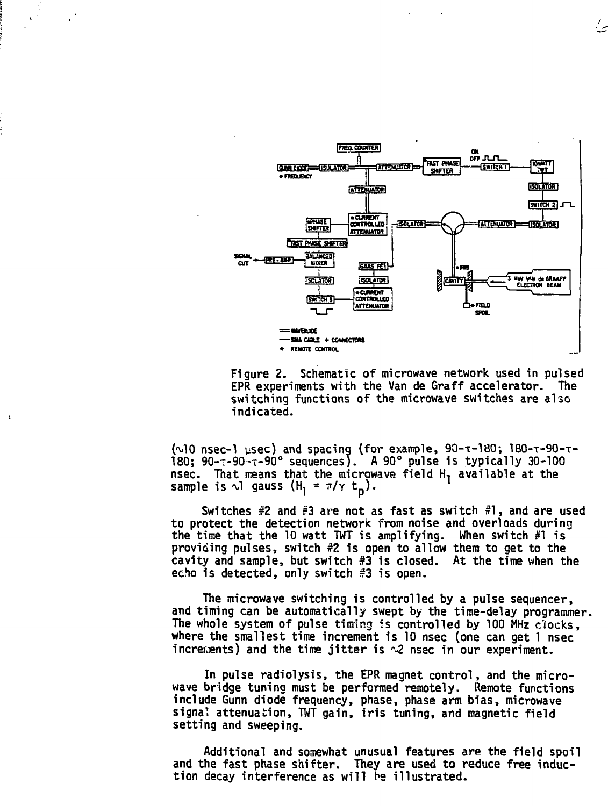

Figure 2. Schematic of microwave network used in pulsed EPR experiments with the Van de Graff accelerator. The switching functions of the microwave switches are also indicated.

{ nsec-1 vsec) and spacing (for example, 90-T-180; 180-T-90-T-180; 90-T-90-T-90° sequences). A 90° pulse is typically 30-100 **p** nsec. That means that the microwave field H<sub>1</sub> available at the sample is  $\sim$ l gauss (H<sub>]</sub> =  $\pi/\gamma$  t<sub>p</sub>).

Switches  $#2$  and  $#3$  are not as fast as switch  $#1$ , and are used to protect the detection network from noise and overloads during the time that the 10 watt TWT is amplifying. When switch #1 is providing pulses, switch #2 is open to allow them to get to the cavity and sample, but switch  $#3$  is closed. At the time when the echo is detected, only switch #3 is open.

The microwave switching is controlled by a pulse sequencer, and timing can be automatically swept by the time-delay programmer. The whole system of pulse timing is controlled by 100 MHz clocks, where the smallest time increment is 10 nsec (one can get 1 nsec increments) and the time jitter is  $\sim$ 2 nsec in our experiment.

In pulse radiolysis, the EPR magnet control, and the microwave bridge tuning must be performed remotely. Remote functions include Gunn diode frequency, phase, phase arm bias, microwave signal attenuation, TWT gain, iris tuning, and magnetic field setting and sweeping.

Additional and somewhat unusual features are the field spoil and the fast phase shifter. They are used to reduce free induction decay interference as will be illustrated.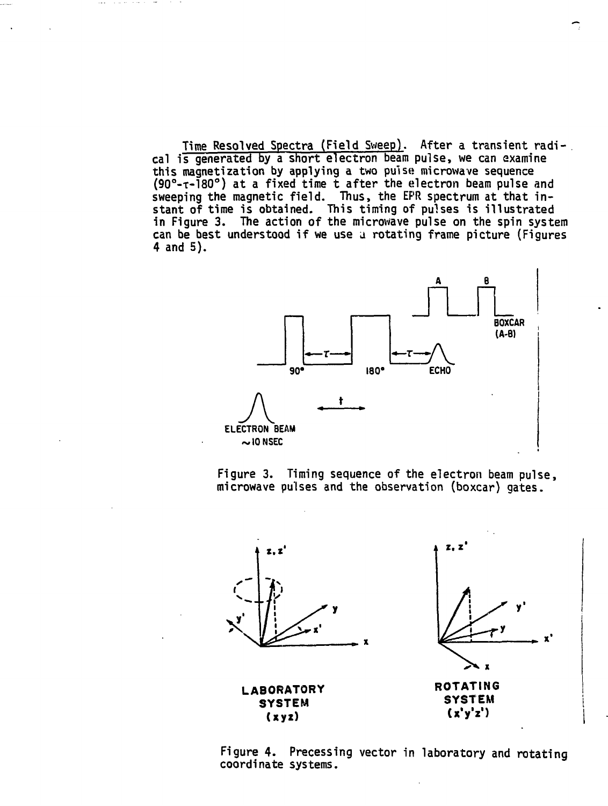Time Resolved Spectra (Field Sweep). After a transient radical is generated by a short electron beam pulse, we can examine this magnetization by applying a two pulse microwave sequence (90°-T-180° ) at a fixed time t after the electron beam pulse and sweeping the magnetic field. Thus, the EPR spectrum at that in stant of time is obtained. This timing of pulses is illustrated in Figure 3. The action of the microwave pulse on the spin system can be best understood if we use a rotating frame picture (Figures 4 and 5).



Figure 3. Timing sequence of the electron beam pulse, microwave pulses and the observation (boxcar) gates.



Figure 4. Precessing vector in laboratory and rotating coordinate systems.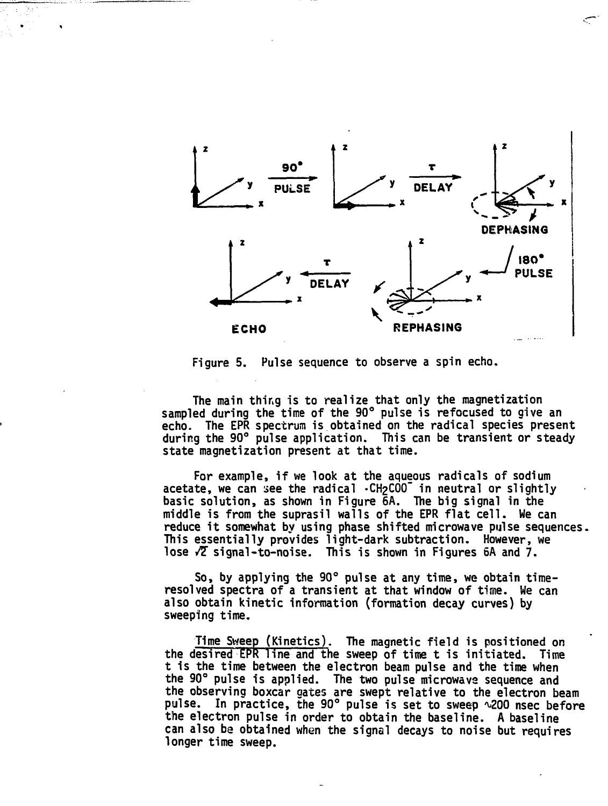

**Figure 5. Pulse sequence to observe a spin echo.**

**The main thirg is to realize that only the magnetization sampled during the time of the 90° pulse is refocused to give an echo. The EPR spectrum is obtained on the radical species present during the 90° pulse application. This can be transient or steady state magnetization present at that time.**

**For example, if we look at the aqueous radicals of sodium acetate, we can see the radical -CI^COO" in neutral or slightly basic solution, as shown in Figure 6A. The big signal in the middle is from the suprasil walls of the EPR flat cell. We can reduce it somewhat by using phase shifted microwave pulse sequences. This essentially provides light-dark subtraction. However, we lose & signal-to-noise. This is shown in Figures 6A and 7.**

**So, by applying the 90° pulse at any time, we obtain timeresolved spectra of a transient at that window of time. We can also obtain kinetic information (formation decay curves) by sweeping time.**

**Time Sweep (Kinetics). The magnetic field is positioned on the desired EPR line and the sweep of time t is initiated. Time t is the time between the electron beam pulse and the time when the 90° pulse is applied. The two pulse microwave sequence and the observing boxcar gates are swept relative to the electron beam pulse. In practice, the 90° pulse is set to sweep ^200 nsec before the electron pulse in order to obtain the baseline. A baseline can also be obtained when the signal decays to noise but requires longer time sweep.**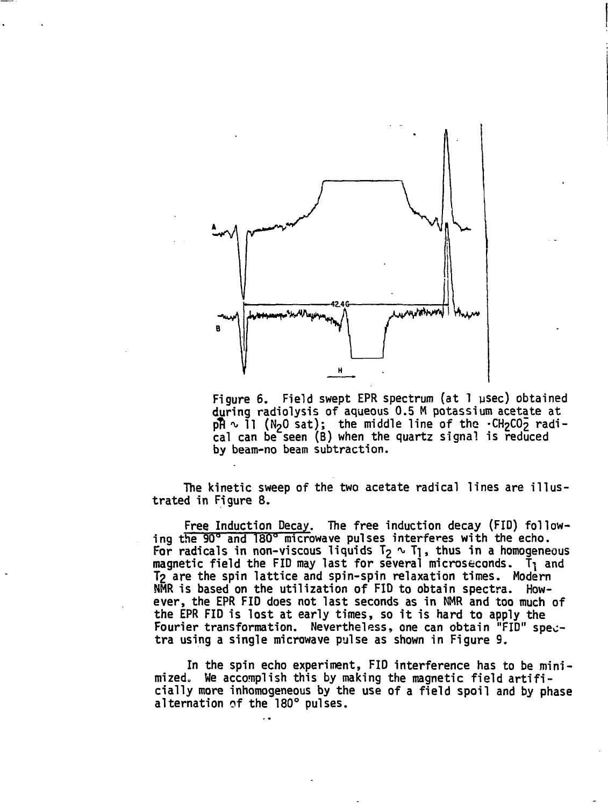

Figure 6. Field swept EPR spectrum (at 1 ysec) obtained during radiolysis of aqueous 0.5 M potassium acetate at  $\mathsf{p} \mathsf{R} \sim \mathsf{I}$ 1 (N<sub>2</sub>O sat); the middle line of the  $\cdot$ CH<sub>2</sub>CO<sub>2</sub> radical can be seen (B) when the quartz signal is reduced by beam-no beam subtraction.

The kinetic sweep of the two acetate radical lines are illustrated in Figure 8.

Free Induction Decay. The free induction decay (FID) following the 90° and 180° microwave pulses interferes with the echo. For radicals in non-viscous liquids  $T_2 \sim T_1$ , thus in a homogeneous magnetic field the FID may last for several microseconds.  $\bar{T}_1$  and T2 are the spin lattice and spin-spin relaxation times. Modern NMR is based on the utilization of FID to obtain spectra. However, the EPR FID does not last seconds as in NMR and too much of the EPR FID is lost at early times, so it is hard to apply the Fourier transformation. Nevertheless, one can obtain "FID" spectra using a single microwave pulse as shown in Figure 9.

In the spin echo experiment, FID interference has to be minimized. We accomplish this by making the magnetic field artificially more inhomogeneous by the use of a field spoil and by phase alternation of the 180° pulses.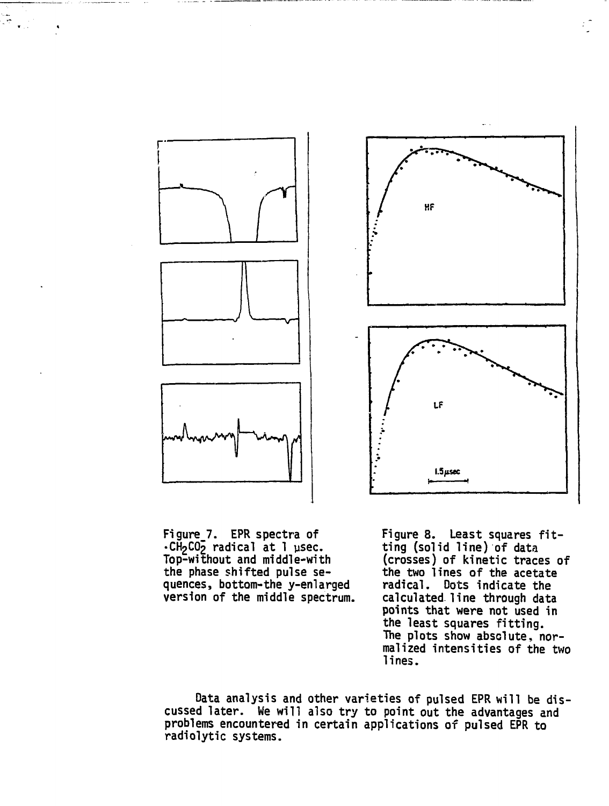





Figure 8. Least squares fitting (solid line) of data (crosses) of kinetic traces of the two lines of the acetate radical. Dots indicate the calculated line through data points that were not used in the least squares fitting. The plots show absclute, normalized intensities of the two lines.

Data analysis and other varieties of pulsed EPR will be discussed later. We will also try to point out the advantages and problems encountered in certain applications of pulsed EPR to radiolytic systems.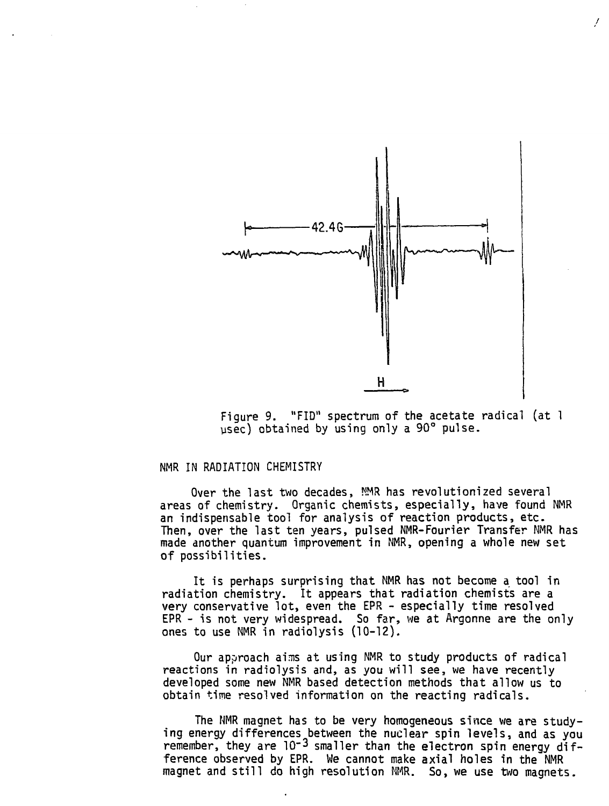

**Figure 9. "FID" spectrum of the acetate radical (at 1 ysec) obtained by using only a 90° pulse.**

## **NMR IN RADIATION CHEMISTRY**

**Over the last two decades, NMR has revolutionized several areas of chemistry. Organic chemists, especially, have found NMR an indispensable tool for analysis of reaction products, etc. Then, over the last ten years, pulsed NMR-Fourier Transfer NMR has made another quantum improvement in NMR, opening a whole new set of possibilities.**

**It is perhaps surprising that NMR has not become a tool in radiation chemistry. It appears that radiation chemists are a very conservative lot, even the EPR - especially time resolved EPR - is not very widespread. So far, we at Argonne are the only ones to use NMR in radiolysis (10-12).**

**Our approach aims at using NMR to study products of radical reactions in radiolysis and, as you will see, we have recently developed some new NMR based detection methods that allow us to obtain time resolved information on the reacting radicals.**

**The NMR magnet has to be very homogeneous since we are studying energy differences between the nuclear spin levels, and as you** remember, they are  $10^{-3}$  smaller than the electron spin energy dif**ference observed by EPR. We cannot make axial holes in the NMR magnet and still do high resolution NMR. So, we use two magnets.**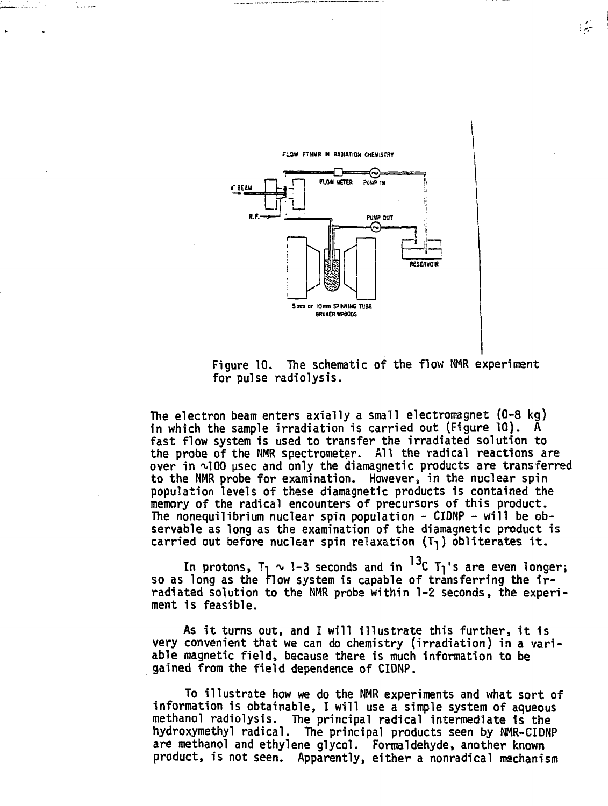



سنرا

**The electron beam enters axially a small electromagnet (0-8 kg) in which the sample irradiation is carried out (Figure 10). A fast flow system is used to transfer the irradiated solution to the probe of the NMR spectrometer. All the radical reactions are over in MO O ysec and only the diamagnetic products are transferred to the NMR probe for examination. However,, in the nuclear spin population levels of these diamagnetic products is contained the memory of the radical encounters of precursors of this product. The nonequilibrium nuclear spin population - CIDNP - will be observable as long as the examination of the diamagnetic product is carried out before nuclear spin relaxation (T-j) obliterates it.**

In protons,  $T_1 \sim 1$ -3 seconds and in  ${}^{13}C$   $T_1$ 's are even longer; **so as long as the flow system is capable of transferring the irradiated solution to the NMR probe within 1-2 seconds, the experiment is feasible.**

**As it turns out, and I will illustrate this further, it is very convenient that we can do chemistry (irradiation) in a variable magnetic field, because there is much information to be gained from the field dependence of CIDNP.**

**To illustrate how we do the NMR experiments and what sort of information is obtainable, I will use a simple system of aqueous methanol radiolysis. The principal radical intermediate is the hydroxymethyl radical. The principal products seen by NMR-CIDNP are methanol and ethylene glycol. Formaldehyde, another known product, is not seen. Apparently, either a nonradical machanism**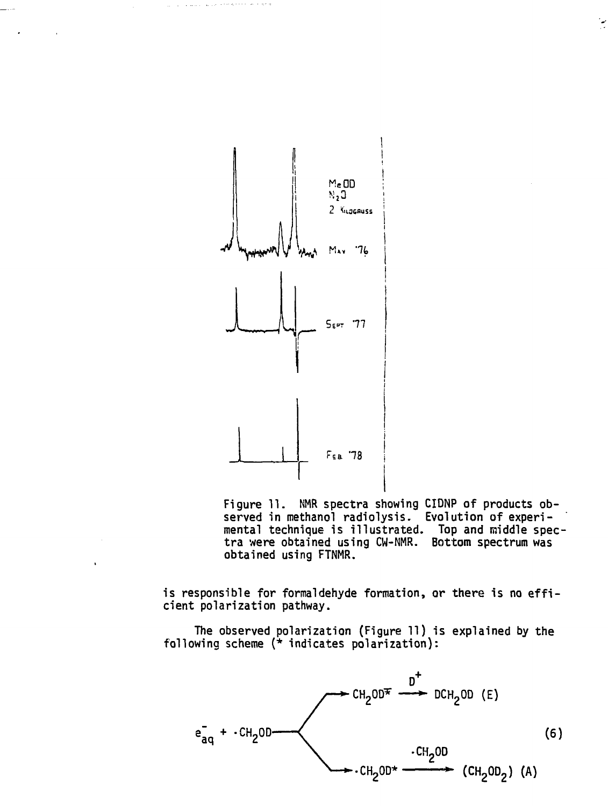

Figure 11. NMR spectra showing CIDNP of products observed in methanol radiolysis. Evolution of experimental technique is illustrated. Top and middle spectra were obtained using CW-NMR. Bottom spectrum was obtained using FTNMR.

is responsible for formaldehyde formation, or there is no effi cient polarization pathway.

The observed polarization (Figure 11) is explained by the following scheme (\* indicates polarization):

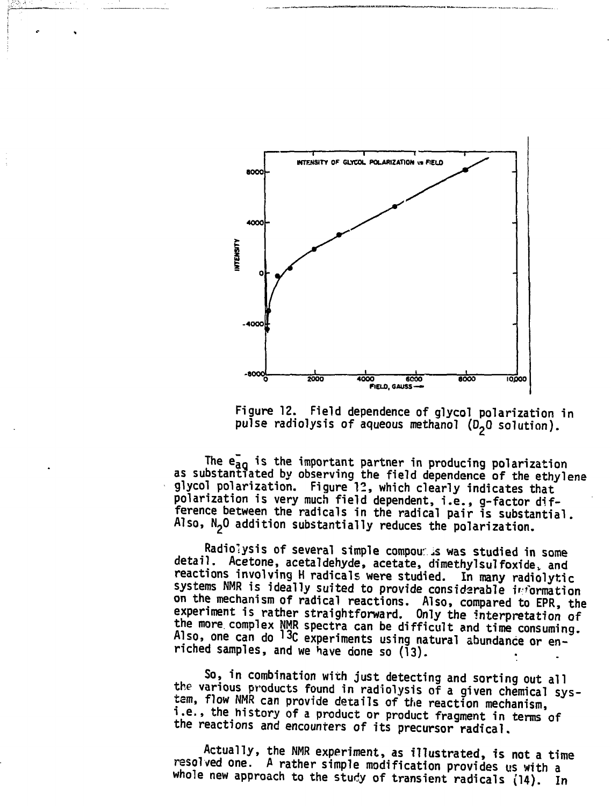

Figure 12. Field dependence of glycol polarization in pulse radiolysis of aqueous methanol ( $D_2$ O solution).

The  $e_{aa}$  is the important partner in producing polarization as substantiated by observing the field dependence of the ethylene glycol polarization. Figure 12, which clearly indicates that polarization is very much field dependent, i.e., g-factor difference between the radicals in the radical pair is substantial. Also, N<sub>2</sub>0 addition substantially reduces the polarization.

Radiolysis of several simple compouris was studied in some detail. Acetone, acetaldehyde, acetate, dimethylsulfoxide, and reactions involving H radicals were studied. In many radiolytic systems NMR is ideally suited to provide considerable information on the mechanism of radical reactions. Also, compared to EPR, the experiment is rather straightforward. Only the interpretation of the more complex NMR spectra can be difficult and time consuming. Also, one can do <sup>13</sup>C experiments using natural abundance or enriched samples, and we have done so (13).

So, in combination with just detecting and sorting out all the various products found in radiolysis of a given chemical systam, flow NMR can provide details of the reaction mechanism, i.e., the history of a product or product fragment in terms of the reactions and encounters of its precursor radical.

Actually, the NMR experiment, as illustrated, is not a time resolved one. A rather simple modification provides us with a whole new approach to the study of transient radicals (14). In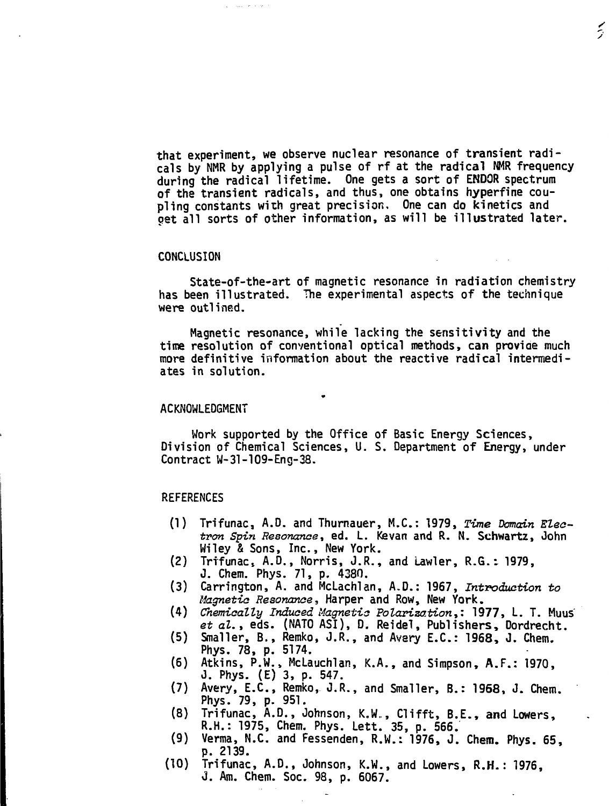**that experiment, we observe nuclear resonance of transient radicals by NMR by applying a pulse of rf at the radical NMR frequency during the radical lifetime. One gets a sort of ENDOR spectrum of the transient radicals, and thus, one obtains hyperfine coupling constants with great precision. One can do kinetics and qet all sorts of other information, as will be illustrated later.**

 $\zeta$ 

#### **CONCLUSION**

State-of-the-art of magnetic resonance in radiation chemistry has been illustrated. The experimental aspects of the technique were outlined.

Magnetic resonance, while lacking the sensitivity and the time resolution of conventional optical methods, **can** provide much more definitive information about the reactive radical intermediates in solution.

## ACKNOWLEDGMENT

Work supported by the Office of Basic Energy Sciences, Division of Chemical Sciences, U. S. Department of Energy, under Contract W-31-109-Eng-38.

#### REFERENCES

- (1) Trifunac, A.D. and Thurnauer, M.C.: 1979, *Time Domain Electron Spin Resonance,* ed. L. Kevan and R. N. Schwartz, John Wiley & Sons, Inc., New York.
- (2) Trifunac, A.D., Norris, J.R., and Lawler, R.G. i 1979, J. Chem. Phys. 71, p. 4380.
- (3) Carrington, A. and McLachlan, A,D.: 1967, *Introduction to Magnetic Resonance,* Harper and Row, New York.
- (4) *Chemically Induced Magnetis Polarisation*,: **1977, L.** T. Muus *et al.* , eds. (NATO ASI), D. Reidel, Publishers, Dordrecht.
- (5) Smaller, B., Remko, J.R., and Avery E.C.: 1968, J. Chem. Phys. 78, p. 5174.
- (6) Atkins, P.W., McLauchlan, K.A., and Simpson, A.F. : 1970, J . Phys. (E) 3, p. 547.
- (7) Avery, E.C., Remko, J.R., and Smaller, B.: **1958,** J. Chem. Phys. 79, p. 951.
- (8) Trifunac, A.D., Johnson, K.W., Clifft , B.E., **and** Lowers, R.H.: 1975, Chem. Phys. Lett. 35, p. 566.
- (9) Verma, N.C. and Fessenden, R.W.: **1976,** J. **Chera.** Phys. **65,** p. 2139.
- (10) Trifunac, A.D., Johnson, K.W., and Lowers, R.H.: 1976, J . Am. Chem. Soc. 98, p. 6067.